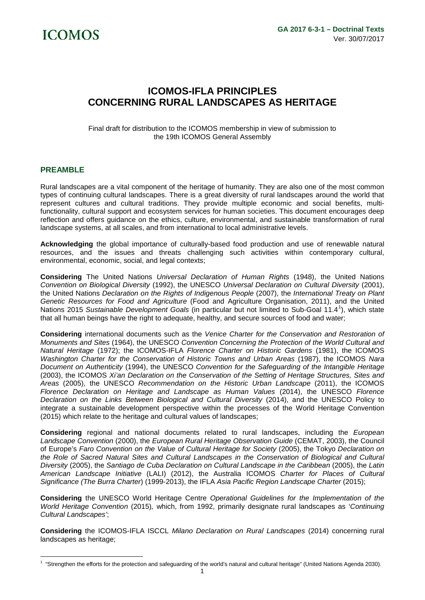

# **ICOMOS-IFLA PRINCIPLES CONCERNING RURAL LANDSCAPES AS HERITAGE**

Final draft for distribution to the ICOMOS membership in view of submission to the 19th ICOMOS General Assembly

## **PREAMBLE**

Rural landscapes are a vital component of the heritage of humanity. They are also one of the most common types of continuing cultural landscapes. There is a great diversity of rural landscapes around the world that represent cultures and cultural traditions. They provide multiple economic and social benefits, multifunctionality, cultural support and ecosystem services for human societies. This document encourages deep reflection and offers guidance on the ethics, culture, environmental, and sustainable transformation of rural landscape systems, at all scales, and from international to local administrative levels.

**Acknowledging** the global importance of culturally-based food production and use of renewable natural resources, and the issues and threats challenging such activities within contemporary cultural, environmental, economic, social, and legal contexts;

**Considering** The United Nations *Universal Declaration of Human Rights* (1948), the United Nations *Convention on Biological Diversity* (1992), the UNESCO *Universal Declaration on Cultural Diversity* (2001), the United Nations *Declaration on the Rights of Indigenous People* (2007), the *International Treaty on Plant Genetic Resources for Food and Agriculture* (Food and Agriculture Organisation, 2011), and the United Nations 2015 *Sustainable Development Goals* (in particular but not limited to Sub-Goal 11.4[1](#page-0-0) ), which state that all human beings have the right to adequate, healthy, and secure sources of food and water;

**Considering** international documents such as the *Venice Charter for the Conservation and Restoration of Monuments and Sites* (1964), the UNESCO *Convention Concerning the Protection of the World Cultural and Natural Heritage* (1972); the ICOMOS-IFLA *Florence Charter on Historic Gardens* (1981), the ICOMOS *Washington Charter for the Conservation of Historic Towns and Urban Areas* (1987), the ICOMOS *Nara Document on Authenticity* (1994), the UNESCO *Convention for the Safeguarding of the Intangible Heritage* (2003), the ICOMOS *Xi'an Declaration on the Conservation of the Setting of Heritage Structures, Sites and Areas* (2005), the UNESCO *Recommendation on the Historic Urban Landscape* (2011), the ICOMOS *Florence Declaration on Heritage and Landscape as Human Values* (2014), the UNESCO *Florence Declaration on the Links Between Biological and Cultural Diversity* (2014), and the UNESCO Policy to integrate a sustainable development perspective within the processes of the World Heritage Convention (2015) which relate to the heritage and cultural values of landscapes;

**Considering** regional and national documents related to rural landscapes, including the *European Landscape Convention* (2000), the *European Rural Heritage Observation Guide* (CEMAT, 2003), the Council of Europe's *Faro Convention on the Value of Cultural Heritage for Society* (2005), the Tokyo *Declaration on the Role of Sacred Natural Sites and Cultural Landscapes in the Conservation of Biological and Cultural Diversity* (2005), the *Santiago de Cuba Declaration on Cultural Landscape in the Caribbean* (2005), the *Latin American Landscape Initiative* (LALI) (2012), the Australia ICOMOS *Charter for Places of Cultural Significance (The Burra Charter*) (1999-2013), the IFLA *Asia Pacific Region Landscape Charter* (2015);

**Considering** the UNESCO World Heritage Centre *Operational Guidelines for the Implementation of the World Heritage Convention* (2015)*,* which, from 1992, primarily designate rural landscapes as '*Continuing Cultural Landscapes'*;

**Considering** the ICOMOS-IFLA ISCCL *Milano Declaration on Rural Landscapes* (2014) concerning rural landscapes as heritage;

<span id="page-0-0"></span><sup>&</sup>lt;sup>1</sup> "Strengthen the efforts for the protection and safeguarding of the world's natural and cultural heritage" (United Nations Agenda 2030). <u>.</u>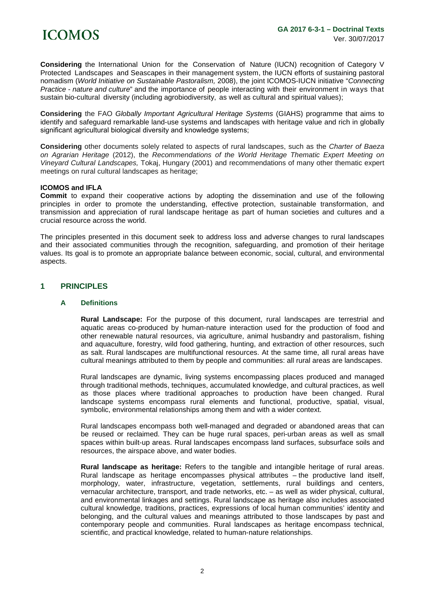**Considering** the International Union for the Conservation of Nature (IUCN) recognition of Category V Protected Landscapes and Seascapes in their management system, the IUCN efforts of sustaining pastoral nomadism (*World Initiative on Sustainable Pastoralism,* 2008), the joint ICOMOS-IUCN initiative "*Connecting Practice - nature and culture*" and the importance of people interacting with their environment in ways that sustain bio-cultural diversity (including agrobiodiversity, as well as cultural and spiritual values);

**Considering** the FAO *Globally Important Agricultural Heritage Systems* (GIAHS) programme that aims to identify and safeguard remarkable land-use systems and landscapes with heritage value and rich in globally significant agricultural biological diversity and knowledge systems:

**Considering** other documents solely related to aspects of rural landscapes, such as the *Charter of Baeza on Agrarian Heritage* (2012), the *Recommendations of the World Heritage Thematic Expert Meeting on Vineyard Cultural Landscapes,* Tokaj, Hungary (2001) and recommendations of many other thematic expert meetings on rural cultural landscapes as heritage;

#### **ICOMOS and IFLA**

**Commit** to expand their cooperative actions by adopting the dissemination and use of the following principles in order to promote the understanding, effective protection, sustainable transformation, and transmission and appreciation of rural landscape heritage as part of human societies and cultures and a crucial resource across the world.

The principles presented in this document seek to address loss and adverse changes to rural landscapes and their associated communities through the recognition, safeguarding, and promotion of their heritage values. Its goal is to promote an appropriate balance between economic, social, cultural, and environmental aspects.

# **1 PRINCIPLES**

#### **A Definitions**

**Rural Landscape:** For the purpose of this document, rural landscapes are terrestrial and aquatic areas co-produced by human-nature interaction used for the production of food and other renewable natural resources, via agriculture, animal husbandry and pastoralism, fishing and aquaculture, forestry, wild food gathering, hunting, and extraction of other resources, such as salt. Rural landscapes are multifunctional resources. At the same time, all rural areas have cultural meanings attributed to them by people and communities: all rural areas are landscapes.

Rural landscapes are dynamic, living systems encompassing places produced and managed through traditional methods, techniques, accumulated knowledge, and cultural practices, as well as those places where traditional approaches to production have been changed. Rural landscape systems encompass rural elements and functional, productive, spatial, visual, symbolic, environmental relationships among them and with a wider context.

Rural landscapes encompass both well-managed and degraded or abandoned areas that can be reused or reclaimed. They can be huge rural spaces, peri-urban areas as well as small spaces within built-up areas. Rural landscapes encompass land surfaces, subsurface soils and resources, the airspace above, and water bodies.

**Rural landscape as heritage:** Refers to the tangible and intangible heritage of rural areas. Rural landscape as heritage encompasses physical attributes – the productive land itself, morphology, water, infrastructure, vegetation, settlements, rural buildings and centers, vernacular architecture, transport, and trade networks, etc. – as well as wider physical, cultural, and environmental linkages and settings. Rural landscape as heritage also includes associated cultural knowledge, traditions, practices, expressions of local human communities' identity and belonging, and the cultural values and meanings attributed to those landscapes by past and contemporary people and communities. Rural landscapes as heritage encompass technical, scientific, and practical knowledge, related to human-nature relationships.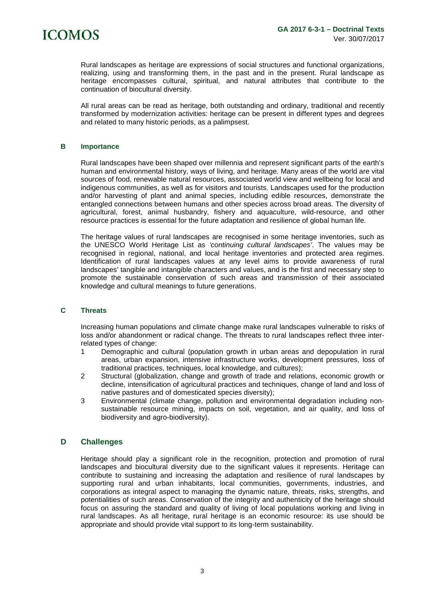

Rural landscapes as heritage are expressions of social structures and functional organizations, realizing, using and transforming them, in the past and in the present. Rural landscape as heritage encompasses cultural, spiritual, and natural attributes that contribute to the continuation of biocultural diversity.

All rural areas can be read as heritage, both outstanding and ordinary, traditional and recently transformed by modernization activities: heritage can be present in different types and degrees and related to many historic periods, as a palimpsest.

#### **B Importance**

Rural landscapes have been shaped over millennia and represent significant parts of the earth's human and environmental history, ways of living, and heritage. Many areas of the world are vital sources of food, renewable natural resources, associated world view and wellbeing for local and indigenous communities, as well as for visitors and tourists. Landscapes used for the production and/or harvesting of plant and animal species, including edible resources, demonstrate the entangled connections between humans and other species across broad areas. The diversity of agricultural, forest, animal husbandry, fishery and aquaculture, wild-resource, and other resource practices is essential for the future adaptation and resilience of global human life.

The heritage values of rural landscapes are recognised in some heritage inventories, such as the UNESCO World Heritage List as *'continuing cultural landscapes'*. The values may be recognised in regional, national, and local heritage inventories and protected area regimes. Identification of rural landscapes values at any level aims to provide awareness of rural landscapes' tangible and intangible characters and values, and is the first and necessary step to promote the sustainable conservation of such areas and transmission of their associated knowledge and cultural meanings to future generations.

#### **C Threats**

Increasing human populations and climate change make rural landscapes vulnerable to risks of loss and/or abandonment or radical change. The threats to rural landscapes reflect three interrelated types of change:

- 1 Demographic and cultural (population growth in urban areas and depopulation in rural areas, urban expansion, intensive infrastructure works, development pressures, loss of traditional practices, techniques, local knowledge, and cultures);
- 2 Structural (globalization, change and growth of trade and relations, economic growth or decline, intensification of agricultural practices and techniques, change of land and loss of native pastures and of domesticated species diversity);
- 3 Environmental (climate change, pollution and environmental degradation including nonsustainable resource mining, impacts on soil, vegetation, and air quality, and loss of biodiversity and agro-biodiversity).

## **D Challenges**

Heritage should play a significant role in the recognition, protection and promotion of rural landscapes and biocultural diversity due to the significant values it represents. Heritage can contribute to sustaining and increasing the adaptation and resilience of rural landscapes by supporting rural and urban inhabitants, local communities, governments, industries, and corporations as integral aspect to managing the dynamic nature, threats, risks, strengths, and potentialities of such areas. Conservation of the integrity and authenticity of the heritage should focus on assuring the standard and quality of living of local populations working and living in rural landscapes. As all heritage, rural heritage is an economic resource: its use should be appropriate and should provide vital support to its long-term sustainability.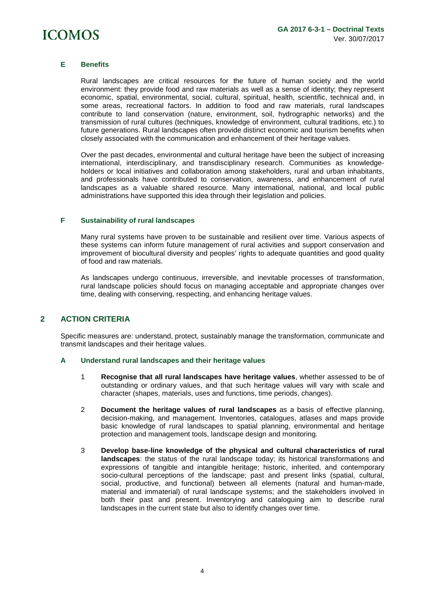

#### **E Benefits**

Rural landscapes are critical resources for the future of human society and the world environment: they provide food and raw materials as well as a sense of identity; they represent economic, spatial, environmental, social, cultural, spiritual, health, scientific, technical and, in some areas, recreational factors. In addition to food and raw materials, rural landscapes contribute to land conservation (nature, environment, soil, hydrographic networks) and the transmission of rural cultures (techniques, knowledge of environment, cultural traditions, etc.) to future generations. Rural landscapes often provide distinct economic and tourism benefits when closely associated with the communication and enhancement of their heritage values.

Over the past decades, environmental and cultural heritage have been the subject of increasing international, interdisciplinary, and transdisciplinary research. Communities as knowledgeholders or local initiatives and collaboration among stakeholders, rural and urban inhabitants, and professionals have contributed to conservation, awareness, and enhancement of rural landscapes as a valuable shared resource. Many international, national, and local public administrations have supported this idea through their legislation and policies.

#### **F Sustainability of rural landscapes**

Many rural systems have proven to be sustainable and resilient over time. Various aspects of these systems can inform future management of rural activities and support conservation and improvement of biocultural diversity and peoples' rights to adequate quantities and good quality of food and raw materials.

As landscapes undergo continuous, irreversible, and inevitable processes of transformation, rural landscape policies should focus on managing acceptable and appropriate changes over time, dealing with conserving, respecting, and enhancing heritage values.

# **2 ACTION CRITERIA**

Specific measures are: understand, protect, sustainably manage the transformation, communicate and transmit landscapes and their heritage values.

#### **A Understand rural landscapes and their heritage values**

- 1 **Recognise that all rural landscapes have heritage values**, whether assessed to be of outstanding or ordinary values, and that such heritage values will vary with scale and character (shapes, materials, uses and functions, time periods, changes).
- 2 **Document the heritage values of rural landscapes** as a basis of effective planning, decision-making, and management. Inventories, catalogues, atlases and maps provide basic knowledge of rural landscapes to spatial planning, environmental and heritage protection and management tools, landscape design and monitoring.
- 3 **Develop base-line knowledge of the physical and cultural characteristics of rural landscapes**: the status of the rural landscape today; its historical transformations and expressions of tangible and intangible heritage; historic, inherited, and contemporary socio-cultural perceptions of the landscape; past and present links (spatial, cultural, social, productive, and functional) between all elements (natural and human-made, material and immaterial) of rural landscape systems; and the stakeholders involved in both their past and present. Inventorying and cataloguing aim to describe rural landscapes in the current state but also to identify changes over time.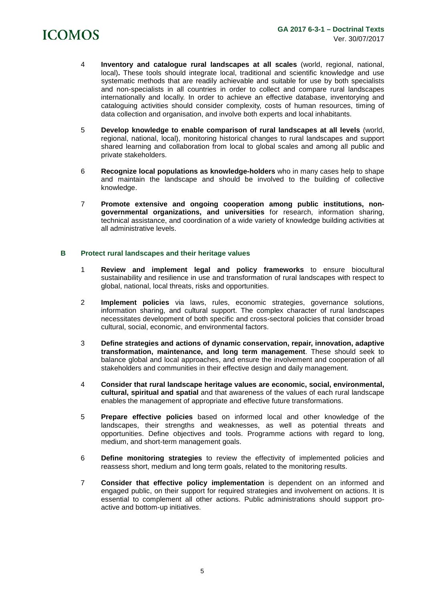# **ICOMOS**

- 4 **Inventory and catalogue rural landscapes at all scales** (world, regional, national, local)**.** These tools should integrate local, traditional and scientific knowledge and use systematic methods that are readily achievable and suitable for use by both specialists and non-specialists in all countries in order to collect and compare rural landscapes internationally and locally. In order to achieve an effective database, inventorying and cataloguing activities should consider complexity, costs of human resources, timing of data collection and organisation, and involve both experts and local inhabitants.
- 5 **Develop knowledge to enable comparison of rural landscapes at all levels** (world, regional, national, local), monitoring historical changes to rural landscapes and support shared learning and collaboration from local to global scales and among all public and private stakeholders.
- 6 **Recognize local populations as knowledge-holders** who in many cases help to shape and maintain the landscape and should be involved to the building of collective knowledge.
- 7 **Promote extensive and ongoing cooperation among public institutions, nongovernmental organizations, and universities** for research, information sharing, technical assistance, and coordination of a wide variety of knowledge building activities at all administrative levels.

#### **B Protect rural landscapes and their heritage values**

- 1 **Review and implement legal and policy frameworks** to ensure biocultural sustainability and resilience in use and transformation of rural landscapes with respect to global, national, local threats, risks and opportunities.
- 2 **Implement policies** via laws, rules, economic strategies, governance solutions, information sharing, and cultural support. The complex character of rural landscapes necessitates development of both specific and cross-sectoral policies that consider broad cultural, social, economic, and environmental factors.
- 3 **Define strategies and actions of dynamic conservation, repair, innovation, adaptive transformation, maintenance, and long term management**. These should seek to balance global and local approaches, and ensure the involvement and cooperation of all stakeholders and communities in their effective design and daily management.
- 4 **Consider that rural landscape heritage values are economic, social, environmental, cultural, spiritual and spatial** and that awareness of the values of each rural landscape enables the management of appropriate and effective future transformations.
- 5 **Prepare effective policies** based on informed local and other knowledge of the landscapes, their strengths and weaknesses, as well as potential threats and opportunities. Define objectives and tools. Programme actions with regard to long, medium, and short-term management goals.
- 6 **Define monitoring strategies** to review the effectivity of implemented policies and reassess short, medium and long term goals, related to the monitoring results.
- 7 **Consider that effective policy implementation** is dependent on an informed and engaged public, on their support for required strategies and involvement on actions. It is essential to complement all other actions. Public administrations should support proactive and bottom-up initiatives.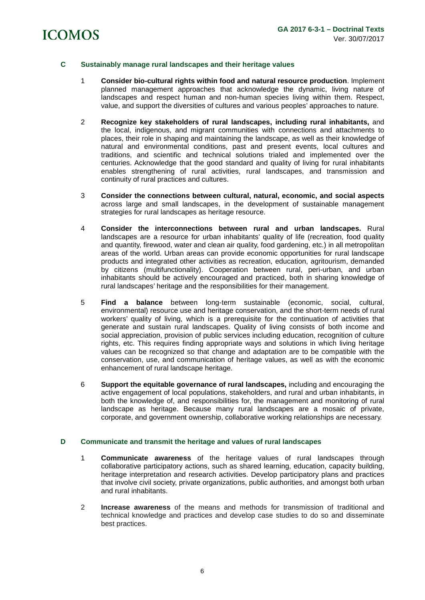# **ICOMOS**

# **C Sustainably manage rural landscapes and their heritage values**

- 1 **Consider bio-cultural rights within food and natural resource production**. Implement planned management approaches that acknowledge the dynamic, living nature of landscapes and respect human and non-human species living within them. Respect, value, and support the diversities of cultures and various peoples' approaches to nature.
- 2 **Recognize key stakeholders of rural landscapes, including rural inhabitants,** and the local, indigenous, and migrant communities with connections and attachments to places, their role in shaping and maintaining the landscape, as well as their knowledge of natural and environmental conditions, past and present events, local cultures and traditions, and scientific and technical solutions trialed and implemented over the centuries. Acknowledge that the good standard and quality of living for rural inhabitants enables strengthening of rural activities, rural landscapes, and transmission and continuity of rural practices and cultures.
- 3 **Consider the connections between cultural, natural, economic, and social aspects**  across large and small landscapes, in the development of sustainable management strategies for rural landscapes as heritage resource.
- 4 **Consider the interconnections between rural and urban landscapes.** Rural landscapes are a resource for urban inhabitants' quality of life (recreation, food quality and quantity, firewood, water and clean air quality, food gardening, etc.) in all metropolitan areas of the world. Urban areas can provide economic opportunities for rural landscape products and integrated other activities as recreation, education, agritourism, demanded by citizens (multifunctionality). Cooperation between rural, peri-urban, and urban inhabitants should be actively encouraged and practiced, both in sharing knowledge of rural landscapes' heritage and the responsibilities for their management.
- 5 **Find a balance** between long-term sustainable (economic, social, cultural, environmental) resource use and heritage conservation, and the short-term needs of rural workers' quality of living, which is a prerequisite for the continuation of activities that generate and sustain rural landscapes. Quality of living consists of both income and social appreciation, provision of public services including education, recognition of culture rights, etc. This requires finding appropriate ways and solutions in which living heritage values can be recognized so that change and adaptation are to be compatible with the conservation, use, and communication of heritage values, as well as with the economic enhancement of rural landscape heritage.
- 6 **Support the equitable governance of rural landscapes,** including and encouraging the active engagement of local populations, stakeholders, and rural and urban inhabitants, in both the knowledge of, and responsibilities for, the management and monitoring of rural landscape as heritage. Because many rural landscapes are a mosaic of private, corporate, and government ownership, collaborative working relationships are necessary.

## **D Communicate and transmit the heritage and values of rural landscapes**

- 1 **Communicate awareness** of the heritage values of rural landscapes through collaborative participatory actions, such as shared learning, education, capacity building, heritage interpretation and research activities. Develop participatory plans and practices that involve civil society, private organizations, public authorities, and amongst both urban and rural inhabitants.
- 2 **Increase awareness** of the means and methods for transmission of traditional and technical knowledge and practices and develop case studies to do so and disseminate best practices.